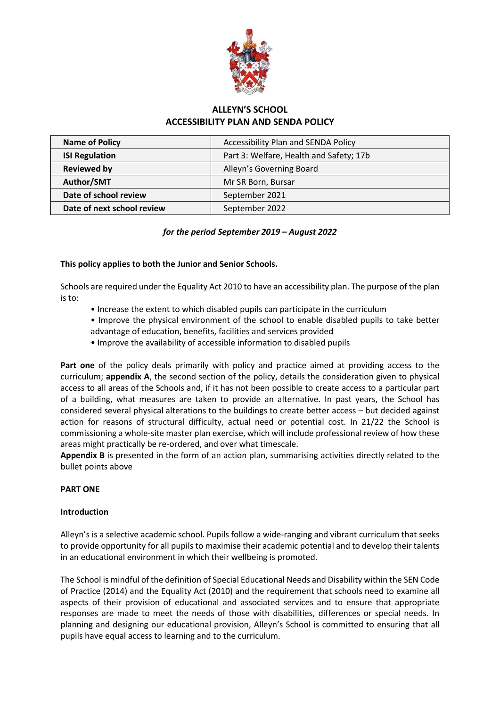

# **ALLEYN'S SCHOOL ACCESSIBILITY PLAN AND SENDA POLICY**

| <b>Name of Policy</b>      | <b>Accessibility Plan and SENDA Policy</b> |
|----------------------------|--------------------------------------------|
| <b>ISI Regulation</b>      | Part 3: Welfare, Health and Safety; 17b    |
| <b>Reviewed by</b>         | Alleyn's Governing Board                   |
| Author/SMT                 | Mr SR Born, Bursar                         |
| Date of school review      | September 2021                             |
| Date of next school review | September 2022                             |
|                            |                                            |

# *for the period September 2019 – August 2022*

## **This policy applies to both the Junior and Senior Schools.**

Schools are required under the Equality Act 2010 to have an accessibility plan. The purpose of the plan is to:

- Increase the extent to which disabled pupils can participate in the curriculum
- Improve the physical environment of the school to enable disabled pupils to take better advantage of education, benefits, facilities and services provided
- Improve the availability of accessible information to disabled pupils

**Part one** of the policy deals primarily with policy and practice aimed at providing access to the curriculum; **appendix A**, the second section of the policy, details the consideration given to physical access to all areas of the Schools and, if it has not been possible to create access to a particular part of a building, what measures are taken to provide an alternative. In past years, the School has considered several physical alterations to the buildings to create better access – but decided against action for reasons of structural difficulty, actual need or potential cost. In 21/22 the School is commissioning a whole-site master plan exercise, which will include professional review of how these areas might practically be re-ordered, and over what timescale.

**Appendix B** is presented in the form of an action plan, summarising activities directly related to the bullet points above

## **PART ONE**

## **Introduction**

Alleyn's is a selective academic school. Pupils follow a wide-ranging and vibrant curriculum that seeks to provide opportunity for all pupils to maximise their academic potential and to develop their talents in an educational environment in which their wellbeing is promoted.

The School is mindful of the definition of Special Educational Needs and Disability within the SEN Code of Practice (2014) and the Equality Act (2010) and the requirement that schools need to examine all aspects of their provision of educational and associated services and to ensure that appropriate responses are made to meet the needs of those with disabilities, differences or special needs. In planning and designing our educational provision, Alleyn's School is committed to ensuring that all pupils have equal access to learning and to the curriculum.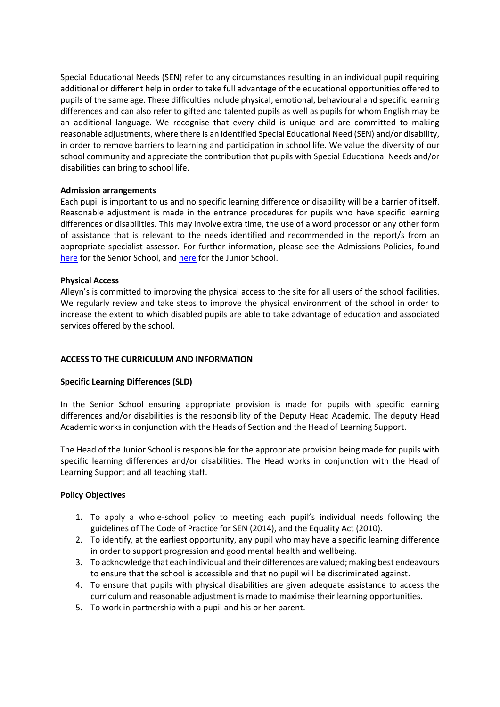Special Educational Needs (SEN) refer to any circumstances resulting in an individual pupil requiring additional or different help in order to take full advantage of the educational opportunities offered to pupils of the same age. These difficulties include physical, emotional, behavioural and specific learning differences and can also refer to gifted and talented pupils as well as pupils for whom English may be an additional language. We recognise that every child is unique and are committed to making reasonable adjustments, where there is an identified Special Educational Need (SEN) and/or disability, in order to remove barriers to learning and participation in school life. We value the diversity of our school community and appreciate the contribution that pupils with Special Educational Needs and/or disabilities can bring to school life.

## **Admission arrangements**

Each pupil is important to us and no specific learning difference or disability will be a barrier of itself. Reasonable adjustment is made in the entrance procedures for pupils who have specific learning differences or disabilities. This may involve extra time, the use of a word processor or any other form of assistance that is relevant to the needs identified and recommended in the report/s from an appropriate specialist assessor. For further information, please see the Admissions Policies, found [here](https://www.alleyns.org.uk/uploaded/documents/Senior_School_/Policies/18-9_Admissions_Policy_(Senior_School_11_,_13_,_16_).pdf) for the Senior School, and [here](https://www.alleyns.org.uk/uploaded/documents/Junior_School/JUNIOR_SCHOOL_ADMISSIONS_POLICY_2018-19.pdf) for the Junior School.

## **Physical Access**

Alleyn's is committed to improving the physical access to the site for all users of the school facilities. We regularly review and take steps to improve the physical environment of the school in order to increase the extent to which disabled pupils are able to take advantage of education and associated services offered by the school.

## **ACCESS TO THE CURRICULUM AND INFORMATION**

#### **Specific Learning Differences (SLD)**

In the Senior School ensuring appropriate provision is made for pupils with specific learning differences and/or disabilities is the responsibility of the Deputy Head Academic. The deputy Head Academic works in conjunction with the Heads of Section and the Head of Learning Support.

The Head of the Junior School is responsible for the appropriate provision being made for pupils with specific learning differences and/or disabilities. The Head works in conjunction with the Head of Learning Support and all teaching staff.

#### **Policy Objectives**

- 1. To apply a whole-school policy to meeting each pupil's individual needs following the guidelines of The Code of Practice for SEN (2014), and the Equality Act (2010).
- 2. To identify, at the earliest opportunity, any pupil who may have a specific learning difference in order to support progression and good mental health and wellbeing.
- 3. To acknowledge that each individual and their differences are valued; making best endeavours to ensure that the school is accessible and that no pupil will be discriminated against.
- 4. To ensure that pupils with physical disabilities are given adequate assistance to access the curriculum and reasonable adjustment is made to maximise their learning opportunities.
- 5. To work in partnership with a pupil and his or her parent.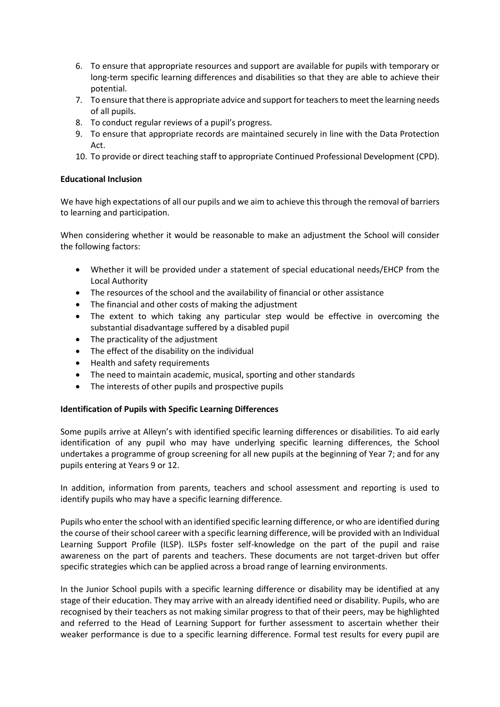- 6. To ensure that appropriate resources and support are available for pupils with temporary or long-term specific learning differences and disabilities so that they are able to achieve their potential.
- 7. To ensure that there is appropriate advice and support for teachers to meet the learning needs of all pupils.
- 8. To conduct regular reviews of a pupil's progress.
- 9. To ensure that appropriate records are maintained securely in line with the Data Protection Act.
- 10. To provide or direct teaching staff to appropriate Continued Professional Development (CPD).

## **Educational Inclusion**

We have high expectations of all our pupils and we aim to achieve this through the removal of barriers to learning and participation.

When considering whether it would be reasonable to make an adjustment the School will consider the following factors:

- Whether it will be provided under a statement of special educational needs/EHCP from the Local Authority
- The resources of the school and the availability of financial or other assistance
- The financial and other costs of making the adjustment
- The extent to which taking any particular step would be effective in overcoming the substantial disadvantage suffered by a disabled pupil
- The practicality of the adjustment
- The effect of the disability on the individual
- Health and safety requirements
- The need to maintain academic, musical, sporting and other standards
- The interests of other pupils and prospective pupils

## **Identification of Pupils with Specific Learning Differences**

Some pupils arrive at Alleyn's with identified specific learning differences or disabilities. To aid early identification of any pupil who may have underlying specific learning differences, the School undertakes a programme of group screening for all new pupils at the beginning of Year 7; and for any pupils entering at Years 9 or 12.

In addition, information from parents, teachers and school assessment and reporting is used to identify pupils who may have a specific learning difference.

Pupils who enter the school with an identified specific learning difference, or who are identified during the course of their school career with a specific learning difference, will be provided with an Individual Learning Support Profile (ILSP). ILSPs foster self-knowledge on the part of the pupil and raise awareness on the part of parents and teachers. These documents are not target-driven but offer specific strategies which can be applied across a broad range of learning environments.

In the Junior School pupils with a specific learning difference or disability may be identified at any stage of their education. They may arrive with an already identified need or disability. Pupils, who are recognised by their teachers as not making similar progress to that of their peers, may be highlighted and referred to the Head of Learning Support for further assessment to ascertain whether their weaker performance is due to a specific learning difference. Formal test results for every pupil are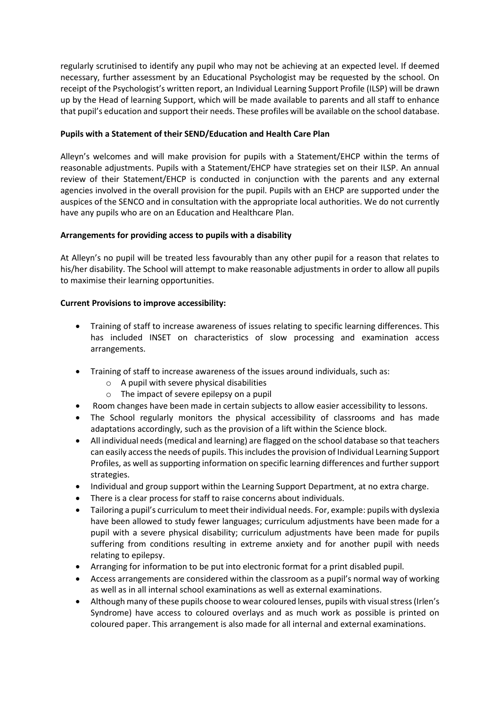regularly scrutinised to identify any pupil who may not be achieving at an expected level. If deemed necessary, further assessment by an Educational Psychologist may be requested by the school. On receipt of the Psychologist's written report, an Individual Learning Support Profile (ILSP) will be drawn up by the Head of learning Support, which will be made available to parents and all staff to enhance that pupil's education and support their needs. These profiles will be available on the school database.

# **Pupils with a Statement of their SEND/Education and Health Care Plan**

Alleyn's welcomes and will make provision for pupils with a Statement/EHCP within the terms of reasonable adjustments. Pupils with a Statement/EHCP have strategies set on their ILSP. An annual review of their Statement/EHCP is conducted in conjunction with the parents and any external agencies involved in the overall provision for the pupil. Pupils with an EHCP are supported under the auspices of the SENCO and in consultation with the appropriate local authorities. We do not currently have any pupils who are on an Education and Healthcare Plan.

## **Arrangements for providing access to pupils with a disability**

At Alleyn's no pupil will be treated less favourably than any other pupil for a reason that relates to his/her disability. The School will attempt to make reasonable adjustments in order to allow all pupils to maximise their learning opportunities.

## **Current Provisions to improve accessibility:**

- Training of staff to increase awareness of issues relating to specific learning differences. This has included INSET on characteristics of slow processing and examination access arrangements.
- Training of staff to increase awareness of the issues around individuals, such as:
	- o A pupil with severe physical disabilities
	- o The impact of severe epilepsy on a pupil
- Room changes have been made in certain subjects to allow easier accessibility to lessons.
- The School regularly monitors the physical accessibility of classrooms and has made adaptations accordingly, such as the provision of a lift within the Science block.
- All individual needs (medical and learning) are flagged on the school database so that teachers can easily access the needs of pupils. This includes the provision of Individual Learning Support Profiles, as well as supporting information on specific learning differences and further support strategies.
- Individual and group support within the Learning Support Department, at no extra charge.
- There is a clear process for staff to raise concerns about individuals.
- Tailoring a pupil's curriculum to meet their individual needs. For, example: pupils with dyslexia have been allowed to study fewer languages; curriculum adjustments have been made for a pupil with a severe physical disability; curriculum adjustments have been made for pupils suffering from conditions resulting in extreme anxiety and for another pupil with needs relating to epilepsy.
- Arranging for information to be put into electronic format for a print disabled pupil.
- Access arrangements are considered within the classroom as a pupil's normal way of working as well as in all internal school examinations as well as external examinations.
- Although many of these pupils choose to wear coloured lenses, pupils with visual stress (Irlen's Syndrome) have access to coloured overlays and as much work as possible is printed on coloured paper. This arrangement is also made for all internal and external examinations.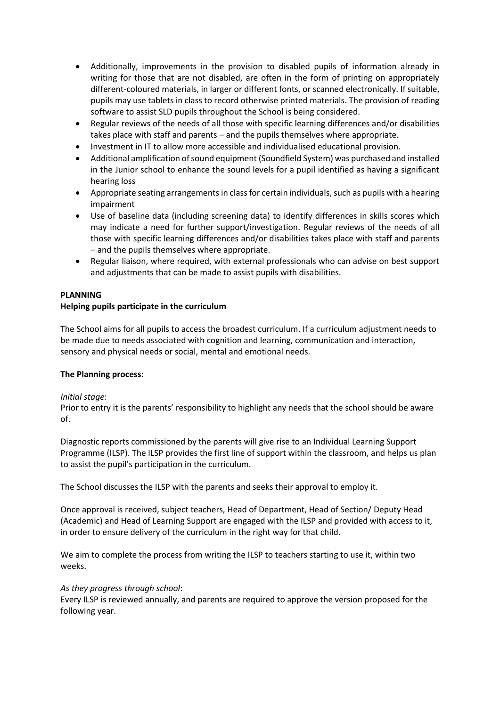- Additionally, improvements in the provision to disabled pupils of information already in writing for those that are not disabled, are often in the form of printing on appropriately different-coloured materials, in larger or different fonts, or scanned electronically. If suitable, pupils may use tablets in class to record otherwise printed materials. The provision of reading software to assist SLD pupils throughout the School is being considered.
- Regular reviews of the needs of all those with specific learning differences and/or disabilities takes place with staff and parents – and the pupils themselves where appropriate.
- Investment in IT to allow more accessible and individualised educational provision.
- Additional amplification of sound equipment (Soundfield System) was purchased and installed in the Junior school to enhance the sound levels for a pupil identified as having a significant hearing loss
- Appropriate seating arrangements in class for certain individuals, such as pupils with a hearing impairment
- Use of baseline data (including screening data) to identify differences in skills scores which may indicate a need for further support/investigation. Regular reviews of the needs of all those with specific learning differences and/or disabilities takes place with staff and parents – and the pupils themselves where appropriate.
- Regular liaison, where required, with external professionals who can advise on best support and adjustments that can be made to assist pupils with disabilities.

## **PLANNING**

## **Helping pupils participate in the curriculum**

The School aims for all pupils to access the broadest curriculum. If a curriculum adjustment needs to be made due to needs associated with cognition and learning, communication and interaction, sensory and physical needs or social, mental and emotional needs.

## **The Planning process**:

## *Initial stage*:

Prior to entry it is the parents' responsibility to highlight any needs that the school should be aware of.

Diagnostic reports commissioned by the parents will give rise to an Individual Learning Support Programme (ILSP). The ILSP provides the first line of support within the classroom, and helps us plan to assist the pupil's participation in the curriculum.

The School discusses the ILSP with the parents and seeks their approval to employ it.

Once approval is received, subject teachers, Head of Department, Head of Section/ Deputy Head (Academic) and Head of Learning Support are engaged with the ILSP and provided with access to it, in order to ensure delivery of the curriculum in the right way for that child.

We aim to complete the process from writing the ILSP to teachers starting to use it, within two weeks.

## *As they progress through school*:

Every ILSP is reviewed annually, and parents are required to approve the version proposed for the following year.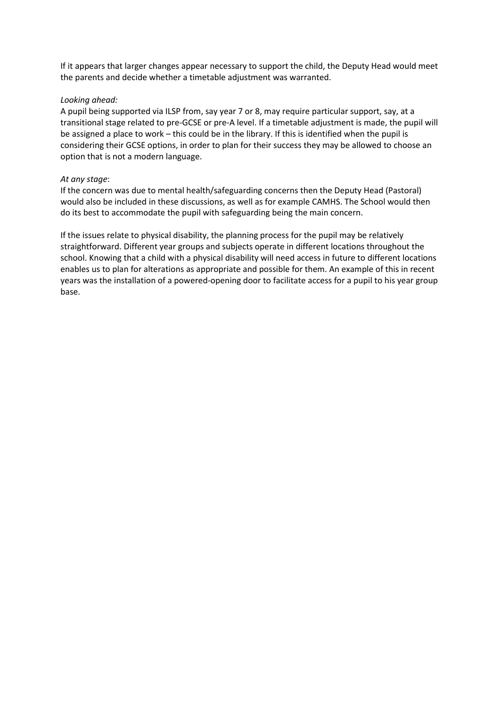If it appears that larger changes appear necessary to support the child, the Deputy Head would meet the parents and decide whether a timetable adjustment was warranted.

## *Looking ahead:*

A pupil being supported via ILSP from, say year 7 or 8, may require particular support, say, at a transitional stage related to pre-GCSE or pre-A level. If a timetable adjustment is made, the pupil will be assigned a place to work – this could be in the library. If this is identified when the pupil is considering their GCSE options, in order to plan for their success they may be allowed to choose an option that is not a modern language.

## *At any stage*:

If the concern was due to mental health/safeguarding concerns then the Deputy Head (Pastoral) would also be included in these discussions, as well as for example CAMHS. The School would then do its best to accommodate the pupil with safeguarding being the main concern.

If the issues relate to physical disability, the planning process for the pupil may be relatively straightforward. Different year groups and subjects operate in different locations throughout the school. Knowing that a child with a physical disability will need access in future to different locations enables us to plan for alterations as appropriate and possible for them. An example of this in recent years was the installation of a powered-opening door to facilitate access for a pupil to his year group base.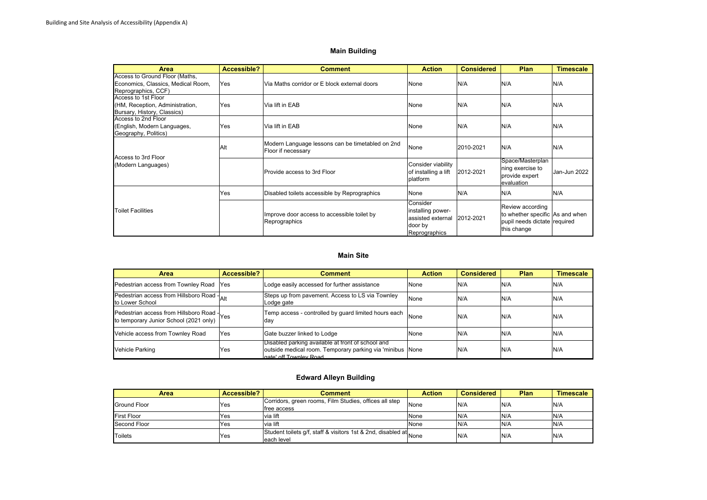#### **Main Building**

| Area                                                                                        | Accessible? | <b>Comment</b>                                                         | <b>Action</b>                                                                  | <b>Considered</b> | Plan                                                                                               | <b>Timescale</b> |
|---------------------------------------------------------------------------------------------|-------------|------------------------------------------------------------------------|--------------------------------------------------------------------------------|-------------------|----------------------------------------------------------------------------------------------------|------------------|
| Access to Ground Floor (Maths,<br>Economics, Classics, Medical Room,<br>Reprographics, CCF) | Yes         | Via Maths corridor or E block external doors                           | None                                                                           | N/A               | N/A                                                                                                | N/A              |
| Access to 1st Floor<br>(HM, Reception, Administration,<br>Bursary, History, Classics)       | Yes         | Via lift in EAB                                                        | None                                                                           | N/A               | N/A                                                                                                | N/A              |
| Access to 2nd Floor<br>(English, Modern Languages,<br>Geography, Politics)                  | Yes         | Via lift in EAB                                                        | None                                                                           | N/A               | N/A                                                                                                | N/A              |
| Access to 3rd Floor<br>(Modern Languages)                                                   | Alt         | Modern Language lessons can be timetabled on 2nd<br>Floor if necessary | None                                                                           | 2010-2021         | N/A                                                                                                | N/A              |
|                                                                                             |             | Provide access to 3rd Floor                                            | Consider viability<br>of installing a lift<br>platform                         | 2012-2021         | Space/Masterplan<br>ning exercise to<br>provide expert<br>evaluation                               | Jan-Jun 2022     |
|                                                                                             | Yes         | Disabled toilets accessible by Reprographics                           | None                                                                           | N/A               | N/A                                                                                                | N/A              |
| <b>Toilet Facilities</b>                                                                    |             | Improve door access to accessible toilet by<br>Reprographics           | Consider<br>installing power-<br>assisted external<br>door by<br>Reprographics | 2012-2021         | Review according<br>to whether specific As and when<br>pupil needs dictate required<br>this change |                  |

#### **Main Site**

| <b>Area</b>                                                                         | Accessible? | <b>Comment</b>                                                                                                                           | <b>Action</b> | <b>Considered</b> | <b>Plan</b> | Timescale |
|-------------------------------------------------------------------------------------|-------------|------------------------------------------------------------------------------------------------------------------------------------------|---------------|-------------------|-------------|-----------|
| Pedestrian access from Townley Road                                                 | <b>Yes</b>  | Lodge easily accessed for further assistance                                                                                             | None          | N/A               | N/A         | N/A       |
| Pedestrian access from Hillsboro Road -<br>to Lower School                          |             | Steps up from pavement. Access to LS via Townley<br>Lodge gate                                                                           | None          | N/A               | N/A         | N/A       |
| Pedestrian access from Hillsboro Road Yes<br>to temporary Junior School (2021 only) |             | Temp access - controlled by guard limited hours each<br>day                                                                              | None          | N/A               | N/A         | N/A       |
| Vehicle access from Townley Road                                                    | Yes         | Gate buzzer linked to Lodge                                                                                                              | None          | N/A               | N/A         | N/A       |
| Vehicle Parking                                                                     | Yes         | Disabled parking available at front of school and<br>outside medical room. Temporary parking via 'minibus None<br>nate' off Townley Road |               | N/A               | N/A         | N/A       |

#### **Edward Alleyn Building**

| Area               | Accessible? | Comment                                                                          | Action | <b>Considered</b> | Plan | <b>Timescale</b> |
|--------------------|-------------|----------------------------------------------------------------------------------|--------|-------------------|------|------------------|
| Ground Floor       | Yes         | Corridors, green rooms, Film Studies, offices all step<br>free access            | None   | N/A               | N/A  | N/A              |
| <b>First Floor</b> | Yes         | via lift                                                                         | None   | N/A               | N/A  | N/A              |
| Second Floor       | Yes         | via lift                                                                         | None   | IN/A              | N/A  | N/A              |
| Toilets            | Yes         | Student toilets g/f, staff & visitors 1st & 2nd, disabled at None<br>leach level |        | N/A               | N/A  | N/A              |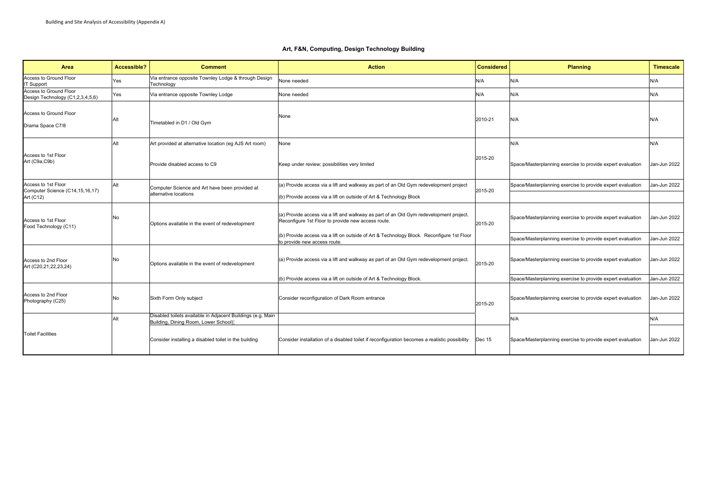#### **Art, F&N, Computing, Design Technology Building**

| Area                                                       | Accessible? | <b>Comment</b>                                                                                      | <b>Action</b>                                                                                                                                | <b>Considered</b> | <b>Planning</b>                                            | <b>Timescale</b> |
|------------------------------------------------------------|-------------|-----------------------------------------------------------------------------------------------------|----------------------------------------------------------------------------------------------------------------------------------------------|-------------------|------------------------------------------------------------|------------------|
| Access to Ground Floor<br><b>IT Support</b>                | Yes         | Via entrance opposite Townley Lodge & through Design<br>Technology                                  | None needed                                                                                                                                  | N/A               | N/A                                                        | N/A              |
| Access to Ground Floor<br>Design Technology (C1,2,3,4,5,6) | Yes         | Via entrance opposite Townley Lodge                                                                 | None needed                                                                                                                                  | N/A               | N/A                                                        | N/A              |
| Access to Ground Floor<br>Drama Space C7/8                 | Alt         | Timetabled in D1 / Old Gym                                                                          | None                                                                                                                                         | 2010-21           | N/A                                                        | N/A              |
|                                                            | Alt         | Art provided at alternative location (eg AJS Art room)                                              | None                                                                                                                                         |                   | N/A                                                        | N/A              |
| Access to 1st Floor<br>Art (C9a,C9b)                       |             | Provide disabled access to C9                                                                       | Keep under review; possibilities very limited                                                                                                | 2015-20           | Space/Masterplanning exercise to provide expert evaluation | Jan-Jun 2022     |
| Access to 1st Floor<br>Computer Science (C14,15,16,17)     | Alt         | Computer Science and Art have been provided at                                                      | (a) Provide access via a lift and walkway as part of an Old Gym redevelopment project                                                        | 2015-20           | Space/Masterplanning exercise to provide expert evaluation | Jan-Jun 2022     |
| Art (C12)                                                  |             | alternative locations                                                                               | (b) Provide access via a lift on outside of Art & Technology Block                                                                           |                   |                                                            |                  |
| Access to 1st Floor<br>Food Technology (C11)               | No          | Options available in the event of redevelopment                                                     | (a) Provide access via a lift and walkway as part of an Old Gym redevelopment project.<br>Reconfigure 1st Floor to provide new access route. | 2015-20           | Space/Masterplanning exercise to provide expert evaluation | Jan-Jun 2022     |
|                                                            |             |                                                                                                     | (b) Provide access via a lift on outside of Art & Technology Block. Reconfigure 1st Floor<br>to provide new access route.                    |                   | Space/Masterplanning exercise to provide expert evaluation | Jan-Jun 2022     |
| Access to 2nd Floor<br>Art (C20,21,22,23,24)               | No          | Options available in the event of redevelopment                                                     | (a) Provide access via a lift and walkway as part of an Old Gym redevelopment project.                                                       | 2015-20           | Space/Masterplanning exercise to provide expert evaluation | Jan-Jun 2022     |
|                                                            |             |                                                                                                     | (b) Provide access via a lift on outside of Art & Technology Block.                                                                          |                   | Space/Masterplanning exercise to provide expert evaluation | Jan-Jun 2022     |
| Access to 2nd Floor<br>Photography (C25)                   | No          | Sixth Form Only subject                                                                             | Consider reconfiguration of Dark Room entrance                                                                                               | 2015-20           | Space/Masterplanning exercise to provide expert evaluation | Jan-Jun 2022     |
|                                                            | Alt         | Disabled toilets available in Adjacent Buildings (e.g. Main<br>Building, Dining Room, Lower School) |                                                                                                                                              |                   | N/A                                                        | N/A              |
| <b>Toilet Facilities</b>                                   |             | Consider installing a disabled toilet in the building                                               | Consider installation of a disabled toilet if reconfiguration becomes a realistic possibility                                                | Dec 15            | Space/Masterplanning exercise to provide expert evaluation | Jan-Jun 2022     |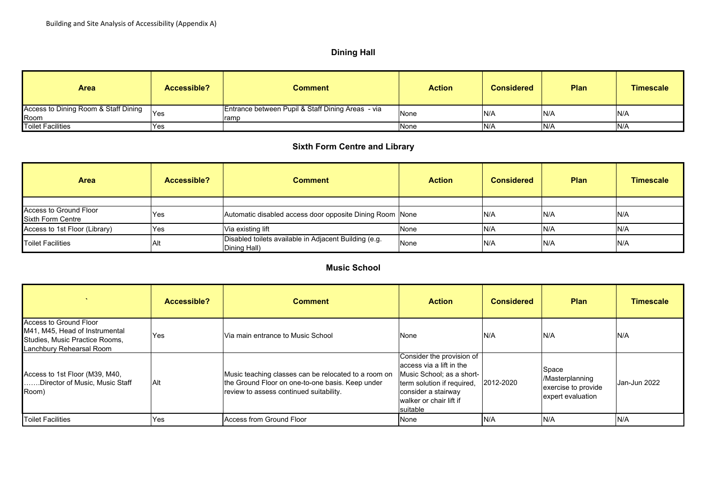# **Dining Hall**

| Area                                         | Accessible? | Comment                                                   | <b>Action</b> | <b>Considered</b> | <b>Plan</b> | <b>Timescale</b> |
|----------------------------------------------|-------------|-----------------------------------------------------------|---------------|-------------------|-------------|------------------|
| Access to Dining Room & Staff Dining<br>Room | 'Yes        | Entrance between Pupil & Staff Dining Areas - via<br>ramp | None          | IN/A              | N/A         | N/A              |
| <b>Toilet Facilities</b>                     | Yes         |                                                           | None          | N/A               | N/A         | N/A              |

# **Sixth Form Centre and Library**

| <b>Area</b>                                        | Accessible? | Comment                                                               | <b>Action</b> | <b>Considered</b> | Plan | <b>Timescale</b> |
|----------------------------------------------------|-------------|-----------------------------------------------------------------------|---------------|-------------------|------|------------------|
|                                                    |             |                                                                       |               |                   |      |                  |
| Access to Ground Floor<br><b>Sixth Form Centre</b> | Yes         | Automatic disabled access door opposite Dining Room None              |               | N/A               | N/A  | N/A              |
| Access to 1st Floor (Library)                      | Yes         | Via existing lift                                                     | None          | N/A               | N/A  | N/A              |
| <b>Toilet Facilities</b>                           | Alt         | Disabled toilets available in Adjacent Building (e.g.<br>Dining Hall) | None          | N/A               | N/A  | N/A              |

# **Music School**

|                                                                                                                        | Accessible? | <b>Comment</b>                                                                                                                                      | <b>Action</b>                                                                                                                                                                  | <b>Considered</b> | <b>Plan</b>                                                          | <b>Timescale</b> |
|------------------------------------------------------------------------------------------------------------------------|-------------|-----------------------------------------------------------------------------------------------------------------------------------------------------|--------------------------------------------------------------------------------------------------------------------------------------------------------------------------------|-------------------|----------------------------------------------------------------------|------------------|
| Access to Ground Floor<br>M41, M45, Head of Instrumental<br>Studies, Music Practice Rooms,<br>Lanchbury Rehearsal Room | Yes         | Via main entrance to Music School                                                                                                                   | None                                                                                                                                                                           | N/A               | N/A                                                                  | N/A              |
| Access to 1st Floor (M39, M40,<br>Director of Music, Music Staff<br>Room)                                              | Alt.        | Music teaching classes can be relocated to a room on<br>the Ground Floor on one-to-one basis. Keep under<br>review to assess continued suitability. | Consider the provision of<br>access via a lift in the<br>Music School; as a short-<br>term solution if required,<br>consider a stairway<br>walker or chair lift if<br>suitable | 2012-2020         | Space<br>/Masterplanning<br>exercise to provide<br>expert evaluation | Jan-Jun 2022     |
| <b>Toilet Facilities</b>                                                                                               | Yes         | Access from Ground Floor                                                                                                                            | INone.                                                                                                                                                                         | N/A               | N/A                                                                  | N/A              |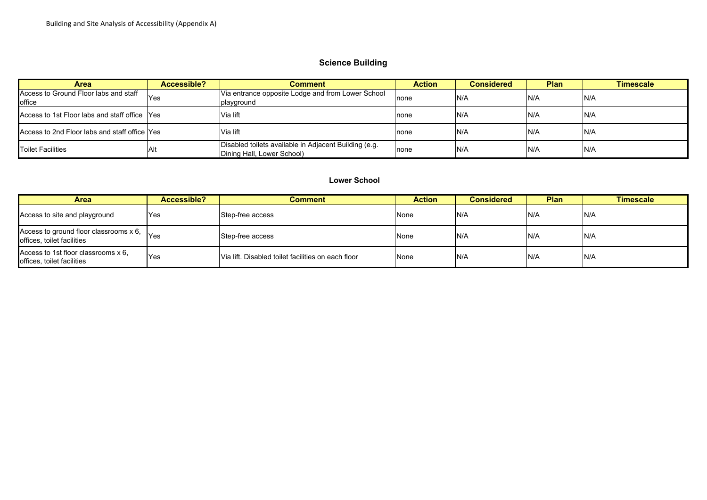# **Science Building**

| <b>Area</b>                                     | Accessible? | Comment                                                                             | <b>Action</b> | Considered | <b>Plan</b> | <b>Timescale</b> |
|-------------------------------------------------|-------------|-------------------------------------------------------------------------------------|---------------|------------|-------------|------------------|
| Access to Ground Floor labs and staff<br>office | 'Yes        | Via entrance opposite Lodge and from Lower School<br>playground                     | none          | N/A        | N/A         | N/A              |
| Access to 1st Floor labs and staff office Yes   |             | Via lift                                                                            | none          | IN/A       | N/A         | N/A              |
| Access to 2nd Floor labs and staff office Yes   |             | Via lift                                                                            | none          | IN/A       | N/A         | N/A              |
| <b>Toilet Facilities</b>                        | Alt         | Disabled toilets available in Adjacent Building (e.g.<br>Dining Hall, Lower School) | none          | IN/A       | N/A         | N/A              |

#### **Lower School**

| <b>Area</b>                                                             | Accessible? | Comment                                            | <b>Action</b> | <b>Considered</b> | <b>Plan</b> | Timescale |
|-------------------------------------------------------------------------|-------------|----------------------------------------------------|---------------|-------------------|-------------|-----------|
| Access to site and playground                                           | <b>Yes</b>  | Step-free access                                   | None          | IN/A              | N/A         | N/A       |
| Access to ground floor classrooms $x 6$ ,<br>offices, toilet facilities | lYes        | Step-free access                                   | None          | IN/A              | N/A         | N/A       |
| Access to 1st floor classrooms x 6.<br>offices, toilet facilities       | <b>Yes</b>  | Via lift. Disabled toilet facilities on each floor | None          | N/A               | N/A         | N/A       |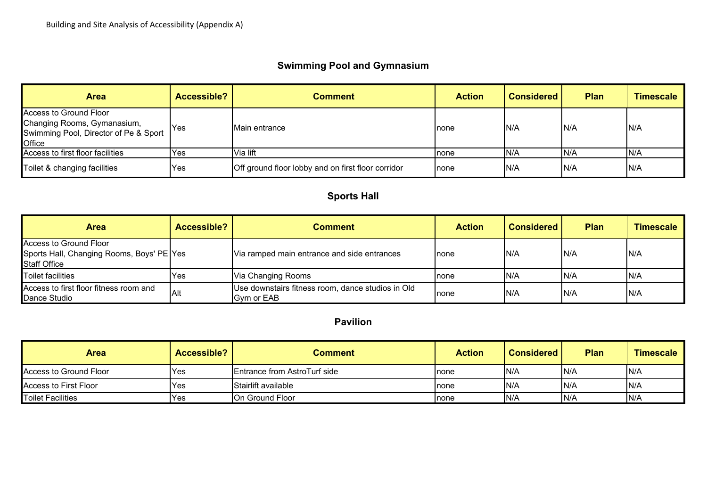# **Swimming Pool and Gymnasium**

| <b>Area</b>                                                                                                     | Accessible? | <b>Comment</b>                                     | <b>Action</b> | <b>Considered</b> | <b>Plan</b> | <b>Timescale</b> |
|-----------------------------------------------------------------------------------------------------------------|-------------|----------------------------------------------------|---------------|-------------------|-------------|------------------|
| Access to Ground Floor<br>Changing Rooms, Gymanasium,<br>Swimming Pool, Director of Pe & Sport<br><b>Office</b> | lYes.       | Main entrance                                      | Inone         | IN/A              | IN/A        | N/A              |
| Access to first floor facilities                                                                                | <b>Yes</b>  | Via lift                                           | none          | N/A               | N/A         | IN/A             |
| Toilet & changing facilities                                                                                    | <b>Yes</b>  | Off ground floor lobby and on first floor corridor | Inone         | IN/A              | IN/A        | N/A              |

# **Sports Hall**

| Area                                                                                       | Accessible? | Comment                                                                  | <b>Action</b> | <b>Considered</b> | <b>Plan</b> | <b>Timescale</b> |
|--------------------------------------------------------------------------------------------|-------------|--------------------------------------------------------------------------|---------------|-------------------|-------------|------------------|
| Access to Ground Floor<br>Sports Hall, Changing Rooms, Boys' PE Yes<br><b>Staff Office</b> |             | Via ramped main entrance and side entrances                              | Inone         | IN/A              | N/A         | N/A              |
| Toilet facilities                                                                          | Yes         | Via Changing Rooms                                                       | none          | IN/A              | IN/A        | IN/A             |
| Access to first floor fitness room and<br>Dance Studio                                     | Alt         | Use downstairs fitness room, dance studios in Old<br><b>I</b> Gvm or EAB | Inone         | IN/A              | N/A         | IN/A             |

**Pavilion**

| Area                   | Accessible? | Comment                              | <b>Action</b> | <b>Considered</b> | <b>Plan</b> | <b>Timescale</b> |
|------------------------|-------------|--------------------------------------|---------------|-------------------|-------------|------------------|
| Access to Ground Floor | Yes         | <b>IEntrance from AstroTurf side</b> | Inone         | N/A               | N/A         | IN/A             |
| Access to First Floor  | Yes         | <b>Stairlift available</b>           | Inone         | N/A               | N/A         | IN/A             |
| Toilet Facilities      | <b>Yes</b>  | <b>IOn Ground Floor</b>              | Inone         | N/A               | N/A         | IN/A             |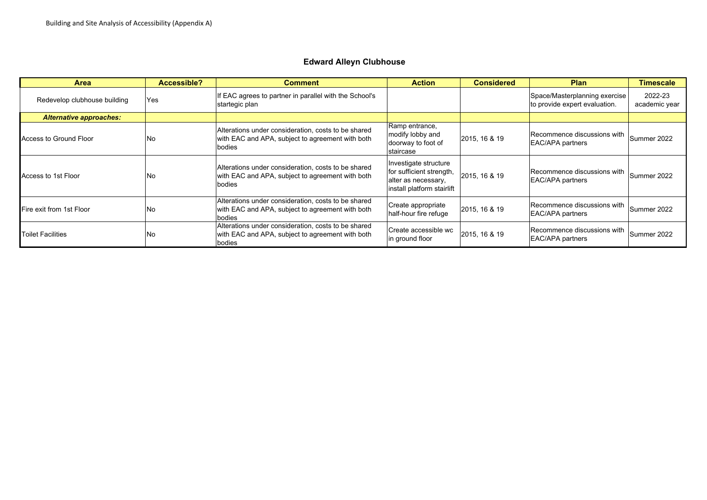# **Edward Alleyn Clubhouse**

| <b>Area</b>                    | Accessible? | <b>Comment</b>                                                                                                    | <b>Action</b>                                                                                          | <b>Considered</b> | <b>Plan</b>                                                    | <b>Timescale</b>         |
|--------------------------------|-------------|-------------------------------------------------------------------------------------------------------------------|--------------------------------------------------------------------------------------------------------|-------------------|----------------------------------------------------------------|--------------------------|
| Redevelop clubhouse building   | Yes         | f EAC agrees to partner in parallel with the School's<br>startegic plan                                           |                                                                                                        |                   | Space/Masterplanning exercise<br>to provide expert evaluation. | 2022-23<br>academic year |
| <b>Alternative approaches:</b> |             |                                                                                                                   |                                                                                                        |                   |                                                                |                          |
| Access to Ground Floor         | No          | Alterations under consideration, costs to be shared<br>with EAC and APA, subject to agreement with both<br>bodies | Ramp entrance,<br>modify lobby and<br>doorway to foot of<br>staircase                                  | 2015, 16 & 19     | Recommence discussions with<br><b>EAC/APA partners</b>         | Summer 2022              |
| Access to 1st Floor            | lNo.        | Alterations under consideration, costs to be shared<br>with EAC and APA, subject to agreement with both<br>bodies | Investigate structure<br>for sufficient strength,<br>alter as necessary,<br>install platform stairlift | 2015, 16 & 19     | Recommence discussions with<br><b>EAC/APA partners</b>         | Summer 2022              |
| Fire exit from 1st Floor       | lNo.        | Alterations under consideration, costs to be shared<br>with EAC and APA, subject to agreement with both<br>bodies | Create appropriate<br>half-hour fire refuge                                                            | 2015, 16 & 19     | Recommence discussions with<br><b>EAC/APA partners</b>         | Summer 2022              |
| <b>Toilet Facilities</b>       | lNo         | Alterations under consideration, costs to be shared<br>with EAC and APA, subject to agreement with both<br>bodies | Create accessible wc<br>in ground floor                                                                | 2015, 16 & 19     | Recommence discussions with<br><b>EAC/APA partners</b>         | Summer 2022              |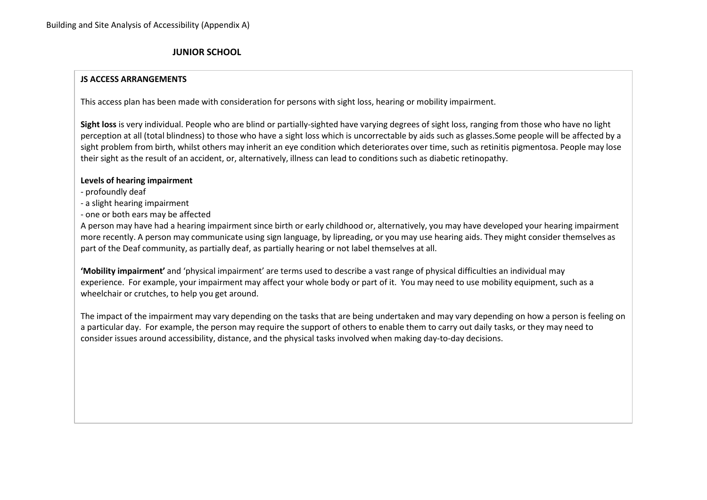# **JUNIOR SCHOOL**

## **JS ACCESS ARRANGEMENTS**

This access plan has been made with consideration for persons with sight loss, hearing or mobility impairment.

**Sight loss** is very individual. People who are blind or partially‐sighted have varying degrees of sight loss, ranging from those who have no light perception at all (total blindness) to those who have <sup>a</sup> sight loss which is uncorrectable by aids such as glasses.Some people will be affected by <sup>a</sup> sight problem from birth, whilst others may inherit an eye condition which deteriorates over time, such as retinitis pigmentosa. People may lose their sight as the result of an accident, or, alternatively, illness can lead to conditions such as diabetic retinopathy.

## **Levels of hearing impairment**

- ‐ profoundly deaf
- ‐ a slight hearing impairment
- ‐ one or both ears may be affected

A person may have had <sup>a</sup> hearing impairment since birth or early childhood or, alternatively, you may have developed your hearing impairment more recently. A person may communicate using sign language, by lipreading, or you may use hearing aids. They might consider themselves as part of the Deaf community, as partially deaf, as partially hearing or not label themselves at all.

**'Mobility impairment'** and 'physical impairment' are terms used to describe <sup>a</sup> vast range of physical difficulties an individual may experience. For example, your impairment may affect your whole body or part of it. You may need to use mobility equipment, such as <sup>a</sup> wheelchair or crutches, to help you get around.

The impact of the impairment may vary depending on the tasks that are being undertaken and may vary depending on how <sup>a</sup> person is feeling on a particular day. For example, the person may require the support of others to enable them to carry out daily tasks, or they may need to consider issues around accessibility, distance, and the physical tasks involved when making day‐to‐day decisions.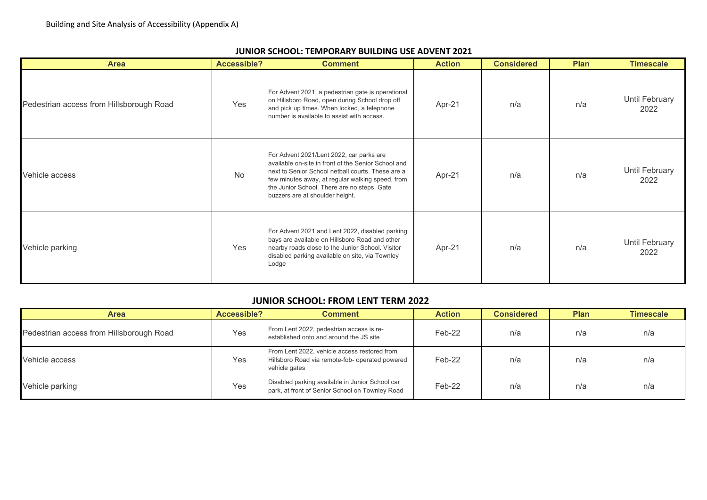| <b>Area</b>                              | Accessible? | <b>Comment</b>                                                                                                                                                                                                                                                                             | <b>Action</b> | <b>Considered</b> | <b>Plan</b> | <b>Timescale</b>       |
|------------------------------------------|-------------|--------------------------------------------------------------------------------------------------------------------------------------------------------------------------------------------------------------------------------------------------------------------------------------------|---------------|-------------------|-------------|------------------------|
| Pedestrian access from Hillsborough Road | Yes         | For Advent 2021, a pedestrian gate is operational<br>on Hillsboro Road, open during School drop off<br>and pick up times. When locked, a telephone<br>number is available to assist with access.                                                                                           | Apr-21        | n/a               | n/a         | Until February<br>2022 |
| Vehicle access                           | No          | For Advent 2021/Lent 2022, car parks are<br>available on-site in front of the Senior School and<br>next to Senior School netball courts. These are a<br>few minutes away, at regular walking speed, from<br>the Junior School. There are no steps. Gate<br>buzzers are at shoulder height. | Apr-21        | n/a               | n/a         | Until February<br>2022 |
| Vehicle parking                          | Yes         | For Advent 2021 and Lent 2022, disabled parking<br>bays are available on Hillsboro Road and other<br>nearby roads close to the Junior School. Visitor<br>disabled parking available on site, via Townley<br>Lodge                                                                          | Apr-21        | n/a               | n/a         | Until February<br>2022 |

## **JUNIOR SCHOOL: TEMPORARY BUILDING USE ADVENT 2021**

## **JUNIOR SCHOOL: FROM LENT TERM 2022**

| Accessible?<br>Area                      |     | <b>Comment</b>                                                                                                   | <b>Action</b> | <b>Considered</b> | <b>Plan</b> | <b>Timescale</b> |
|------------------------------------------|-----|------------------------------------------------------------------------------------------------------------------|---------------|-------------------|-------------|------------------|
| Pedestrian access from Hillsborough Road | Yes | From Lent 2022, pedestrian access is re-<br>established onto and around the JS site                              | Feb-22        | n/a               | n/a         | n/a              |
| Vehicle access                           | Yes | From Lent 2022, vehicle access restored from<br>Hillsboro Road via remote-fob- operated powered<br>vehicle gates | Feb-22        | n/a               | n/a         | n/a              |
| Vehicle parking                          | Yes | Disabled parking available in Junior School car<br>park, at front of Senior School on Townley Road               | Feb-22        | n/a               | n/a         | n/a              |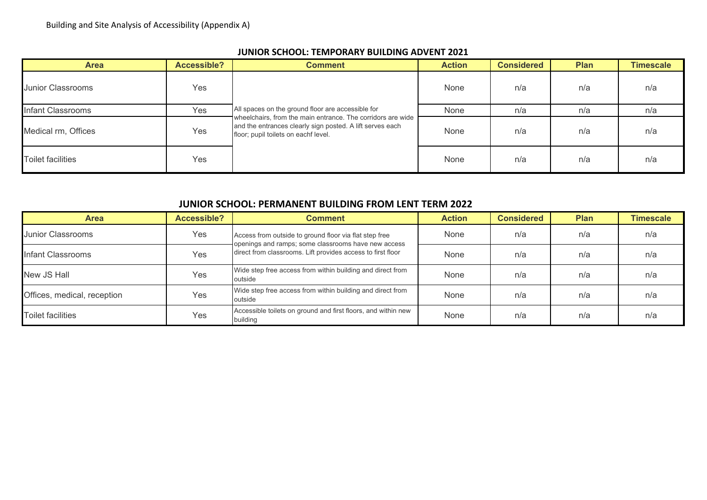| <b>Area</b>              | <b>Accessible?</b> | <b>Comment</b>                                                                                                                                                   | <b>Action</b> | <b>Considered</b> | <b>Plan</b> | <b>Timescale</b> |
|--------------------------|--------------------|------------------------------------------------------------------------------------------------------------------------------------------------------------------|---------------|-------------------|-------------|------------------|
| <b>Junior Classrooms</b> | Yes                |                                                                                                                                                                  | None          | n/a               | n/a         | n/a              |
| Infant Classrooms        | Yes                | All spaces on the ground floor are accessible for                                                                                                                | None          | n/a               | n/a         | n/a              |
| Medical rm, Offices      | Yes                | wheelchairs, from the main entrance. The corridors are wide<br>and the entrances clearly sign posted. A lift serves each<br>floor; pupil toilets on eachf level. | None          | n/a               | n/a         | n/a              |
| <b>Toilet facilities</b> | Yes                |                                                                                                                                                                  | None          | n/a               | n/a         | n/a              |

## **JUNIOR SCHOOL: TEMPORARY BUILDING ADVENT 2021**

# **JUNIOR SCHOOL: PERMANENT BUILDING FROM LENT TERM 2022**

| <b>Area</b>                 | Accessible? | <b>Comment</b>                                                                                                | <b>Action</b> | <b>Considered</b> | <b>Plan</b> | <b>Timescale</b> |
|-----------------------------|-------------|---------------------------------------------------------------------------------------------------------------|---------------|-------------------|-------------|------------------|
| Junior Classrooms           | Yes         | Access from outside to ground floor via flat step free<br>openings and ramps; some classrooms have new access | None          | n/a               | n/a         | n/a              |
| Infant Classrooms           | Yes         | direct from classrooms. Lift provides access to first floor                                                   | None          | n/a               | n/a         | n/a              |
| New JS Hall                 | Yes         | Wide step free access from within building and direct from<br>outside                                         | None          | n/a               | n/a         | n/a              |
| Offices, medical, reception | Yes         | Wide step free access from within building and direct from<br>outside                                         | None          | n/a               | n/a         | n/a              |
| Toilet facilities           | Yes         | Accessible toilets on ground and first floors, and within new<br>building                                     | None          | n/a               | n/a         | n/a              |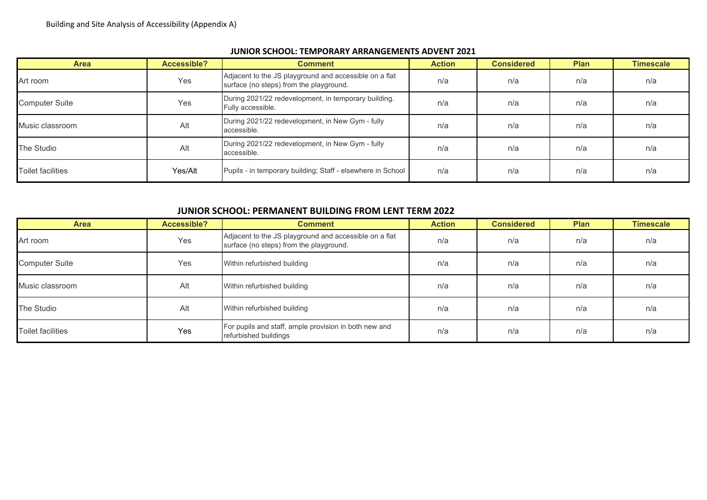| <b>Area</b>              | Accessible? | <b>Comment</b>                                                                                    | <b>Action</b> | <b>Considered</b> | <b>Plan</b> | <b>Timescale</b> |
|--------------------------|-------------|---------------------------------------------------------------------------------------------------|---------------|-------------------|-------------|------------------|
| Art room                 | Yes         | Adjacent to the JS playground and accessible on a flat<br>surface (no steps) from the playground. | n/a           | n/a               | n/a         | n/a              |
| <b>Computer Suite</b>    | Yes         | During 2021/22 redevelopment, in temporary building.<br>n/a<br>n/a<br>Fully accessible.           |               | n/a               | n/a         |                  |
| Music classroom          | Alt         | During 2021/22 redevelopment, in New Gym - fully<br>accessible.                                   | n/a           | n/a               | n/a         | n/a              |
| The Studio               | Alt         | During 2021/22 redevelopment, in New Gym - fully<br>n/a<br>n/a<br>accessible.                     |               |                   | n/a         | n/a              |
| <b>Toilet facilities</b> | Yes/Alt     | Pupils - in temporary building; Staff - elsewhere in School                                       | n/a           | n/a               | n/a         | n/a              |

## **JUNIOR SCHOOL: TEMPORARY ARRANGEMENTS ADVENT 2021**

## **JUNIOR SCHOOL: PERMANENT BUILDING FROM LENT TERM 2022**

| <b>Area</b>              | Accessible? | <b>Comment</b>                                                                                    | <b>Action</b> | <b>Considered</b> | <b>Plan</b> | <b>Timescale</b> |
|--------------------------|-------------|---------------------------------------------------------------------------------------------------|---------------|-------------------|-------------|------------------|
| Art room                 | Yes         | Adjacent to the JS playground and accessible on a flat<br>surface (no steps) from the playground. | n/a           | n/a               | n/a         | n/a              |
| <b>Computer Suite</b>    | Yes         | Within refurbished building<br>n/a                                                                |               | n/a               | n/a         | n/a              |
| Music classroom          | Alt         | Within refurbished building                                                                       | n/a           | n/a               | n/a         | n/a              |
| The Studio               | Alt         | Within refurbished building                                                                       | n/a           | n/a               | n/a         | n/a              |
| <b>Toilet facilities</b> | Yes         | For pupils and staff, ample provision in both new and<br>refurbished buildings                    | n/a           | n/a               | n/a         | n/a              |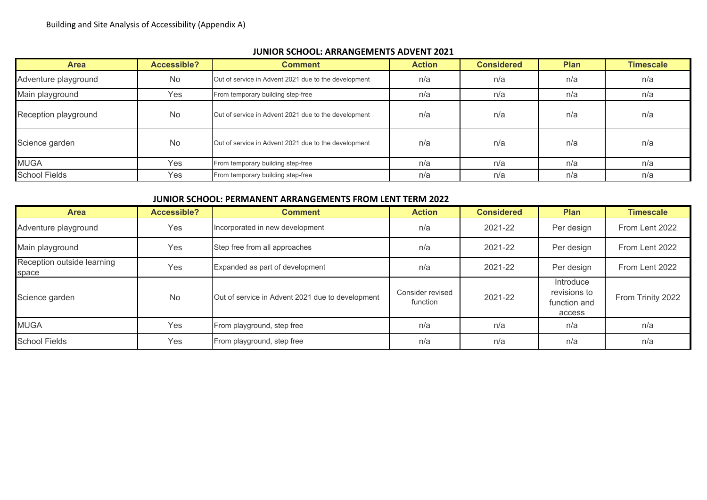## **JUNIOR SCHOOL: ARRANGEMENTS ADVENT 2021**

| <b>Area</b>          | Accessible? | <b>Comment</b>                                       | <b>Action</b> | <b>Considered</b> | <b>Plan</b> | <b>Timescale</b> |
|----------------------|-------------|------------------------------------------------------|---------------|-------------------|-------------|------------------|
| Adventure playground | <b>No</b>   | Out of service in Advent 2021 due to the development | n/a           | n/a               | n/a         | n/a              |
| Main playground      | Yes         | From temporary building step-free                    | n/a           | n/a               | n/a         | n/a              |
| Reception playground | No          | Out of service in Advent 2021 due to the development | n/a           | n/a               | n/a         | n/a              |
| Science garden       | <b>No</b>   | Out of service in Advent 2021 due to the development | n/a           | n/a               | n/a         | n/a              |
| <b>MUGA</b>          | Yes         | From temporary building step-free                    | n/a           | n/a               | n/a         | n/a              |
| <b>School Fields</b> | Yes         | From temporary building step-free                    | n/a           | n/a               | n/a         | n/a              |

## **JUNIOR SCHOOL: PERMANENT ARRANGEMENTS FROM LENT TERM 2022**

| <b>Area</b>                         | Accessible? | <b>Comment</b>                                   | <b>Action</b>                | <b>Considered</b> | <b>Plan</b>                                         | <b>Timescale</b>  |
|-------------------------------------|-------------|--------------------------------------------------|------------------------------|-------------------|-----------------------------------------------------|-------------------|
| Adventure playground                | Yes         | Incorporated in new development                  | n/a                          | 2021-22           | Per design                                          | From Lent 2022    |
| Main playground                     | Yes         | Step free from all approaches                    | n/a                          | 2021-22           | Per design                                          | From Lent 2022    |
| Reception outside learning<br>space | Yes         | Expanded as part of development                  | n/a                          | 2021-22           | Per design                                          | From Lent 2022    |
| Science garden                      | <b>No</b>   | Out of service in Advent 2021 due to development | Consider revised<br>function | 2021-22           | Introduce<br>revisions to<br>function and<br>access | From Trinity 2022 |
| <b>MUGA</b>                         | Yes         | From playground, step free                       | n/a                          | n/a               | n/a                                                 | n/a               |
| <b>School Fields</b>                | Yes         | From playground, step free                       | n/a                          | n/a               | n/a                                                 | n/a               |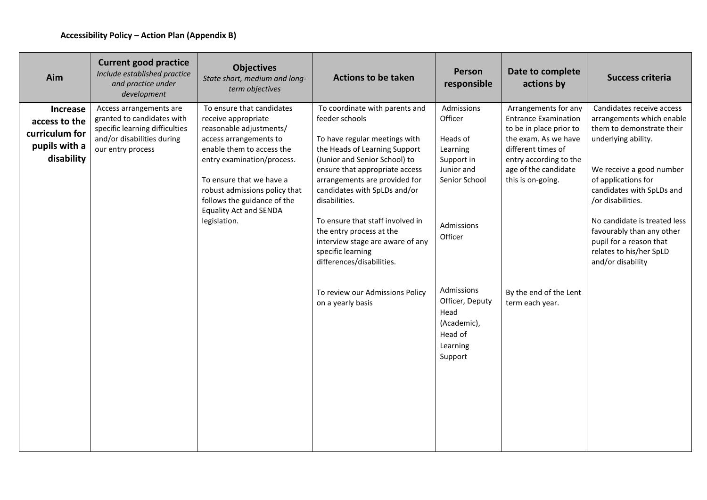| Aim                                                                               | <b>Current good practice</b><br>Include established practice<br>and practice under<br>development                                          | <b>Objectives</b><br>State short, medium and long-<br>term objectives                                                                                                                                                                                                                                         | <b>Actions to be taken</b>                                                                                                                                                                                                                                                                                                                                                                                                    | Person<br>responsible                                                                                               | Date to complete<br>actions by                                                                                                                                                                      | <b>Success criteria</b>                                                                                                                                                                                                                                                                                                                                 |
|-----------------------------------------------------------------------------------|--------------------------------------------------------------------------------------------------------------------------------------------|---------------------------------------------------------------------------------------------------------------------------------------------------------------------------------------------------------------------------------------------------------------------------------------------------------------|-------------------------------------------------------------------------------------------------------------------------------------------------------------------------------------------------------------------------------------------------------------------------------------------------------------------------------------------------------------------------------------------------------------------------------|---------------------------------------------------------------------------------------------------------------------|-----------------------------------------------------------------------------------------------------------------------------------------------------------------------------------------------------|---------------------------------------------------------------------------------------------------------------------------------------------------------------------------------------------------------------------------------------------------------------------------------------------------------------------------------------------------------|
| <b>Increase</b><br>access to the<br>curriculum for<br>pupils with a<br>disability | Access arrangements are<br>granted to candidates with<br>specific learning difficulties<br>and/or disabilities during<br>our entry process | To ensure that candidates<br>receive appropriate<br>reasonable adjustments/<br>access arrangements to<br>enable them to access the<br>entry examination/process.<br>To ensure that we have a<br>robust admissions policy that<br>follows the guidance of the<br><b>Equality Act and SENDA</b><br>legislation. | To coordinate with parents and<br>feeder schools<br>To have regular meetings with<br>the Heads of Learning Support<br>(Junior and Senior School) to<br>ensure that appropriate access<br>arrangements are provided for<br>candidates with SpLDs and/or<br>disabilities.<br>To ensure that staff involved in<br>the entry process at the<br>interview stage are aware of any<br>specific learning<br>differences/disabilities. | Admissions<br>Officer<br>Heads of<br>Learning<br>Support in<br>Junior and<br>Senior School<br>Admissions<br>Officer | Arrangements for any<br><b>Entrance Examination</b><br>to be in place prior to<br>the exam. As we have<br>different times of<br>entry according to the<br>age of the candidate<br>this is on-going. | Candidates receive access<br>arrangements which enable<br>them to demonstrate their<br>underlying ability.<br>We receive a good number<br>of applications for<br>candidates with SpLDs and<br>/or disabilities.<br>No candidate is treated less<br>favourably than any other<br>pupil for a reason that<br>relates to his/her SpLD<br>and/or disability |
|                                                                                   |                                                                                                                                            |                                                                                                                                                                                                                                                                                                               | To review our Admissions Policy<br>on a yearly basis                                                                                                                                                                                                                                                                                                                                                                          | Admissions<br>Officer, Deputy<br>Head<br>(Academic),<br>Head of<br>Learning<br>Support                              | By the end of the Lent<br>term each year.                                                                                                                                                           |                                                                                                                                                                                                                                                                                                                                                         |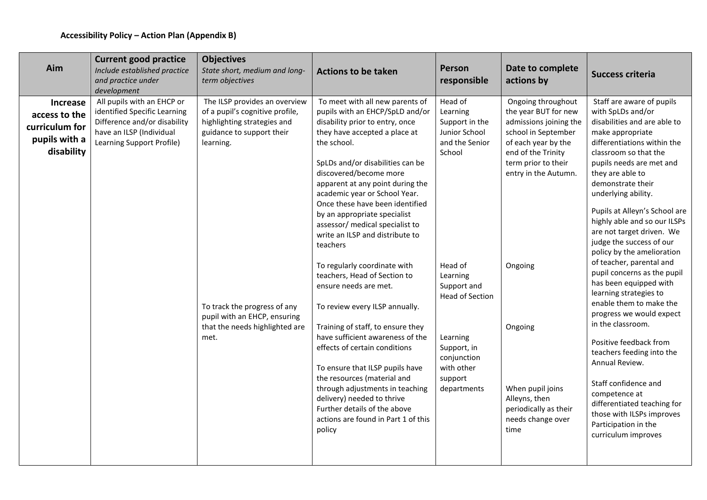| <b>Current good practice</b><br><b>Objectives</b><br>Aim<br>Person<br>Include established practice<br>State short, medium and long-<br><b>Actions to be taken</b><br>and practice under<br>term objectives<br>responsible<br>development                                                                                                                                                                                                                                                                                                                                                                                                                                                                                                                                                                                                                                                                                                                                                                                                                                                                                                                                                                                                                                                                                                                                                                                                                                                                                                                                                                                                   | Date to complete<br>actions by                                                                                                                                                                                                                                                                           | <b>Success criteria</b>                                                                                                                                                                                                                                                                                                                                                                                                                                                                                                                                                                                                                                                                                                                                                                                                                |
|--------------------------------------------------------------------------------------------------------------------------------------------------------------------------------------------------------------------------------------------------------------------------------------------------------------------------------------------------------------------------------------------------------------------------------------------------------------------------------------------------------------------------------------------------------------------------------------------------------------------------------------------------------------------------------------------------------------------------------------------------------------------------------------------------------------------------------------------------------------------------------------------------------------------------------------------------------------------------------------------------------------------------------------------------------------------------------------------------------------------------------------------------------------------------------------------------------------------------------------------------------------------------------------------------------------------------------------------------------------------------------------------------------------------------------------------------------------------------------------------------------------------------------------------------------------------------------------------------------------------------------------------|----------------------------------------------------------------------------------------------------------------------------------------------------------------------------------------------------------------------------------------------------------------------------------------------------------|----------------------------------------------------------------------------------------------------------------------------------------------------------------------------------------------------------------------------------------------------------------------------------------------------------------------------------------------------------------------------------------------------------------------------------------------------------------------------------------------------------------------------------------------------------------------------------------------------------------------------------------------------------------------------------------------------------------------------------------------------------------------------------------------------------------------------------------|
| All pupils with an EHCP or<br>The ILSP provides an overview<br>To meet with all new parents of<br>Head of<br>Increase<br>identified Specific Learning<br>of a pupil's cognitive profile,<br>pupils with an EHCP/SpLD and/or<br>Learning<br>access to the<br>Difference and/or disability<br>disability prior to entry, once<br>highlighting strategies and<br>Support in the<br>curriculum for<br>have an ILSP (Individual<br>guidance to support their<br>they have accepted a place at<br>Junior School<br>pupils with a<br>Learning Support Profile)<br>the school.<br>and the Senior<br>learning.<br>disability<br>School<br>SpLDs and/or disabilities can be<br>discovered/become more<br>apparent at any point during the<br>academic year or School Year.<br>Once these have been identified<br>by an appropriate specialist<br>assessor/ medical specialist to<br>write an ILSP and distribute to<br>teachers<br>To regularly coordinate with<br>Head of<br>teachers, Head of Section to<br>Learning<br>Support and<br>ensure needs are met.<br><b>Head of Section</b><br>To track the progress of any<br>To review every ILSP annually.<br>pupil with an EHCP, ensuring<br>Training of staff, to ensure they<br>that the needs highlighted are<br>have sufficient awareness of the<br>met.<br>Learning<br>effects of certain conditions<br>Support, in<br>conjunction<br>with other<br>To ensure that ILSP pupils have<br>the resources (material and<br>support<br>through adjustments in teaching<br>departments<br>delivery) needed to thrive<br>Further details of the above<br>actions are found in Part 1 of this<br>policy | Ongoing throughout<br>the year BUT for new<br>admissions joining the<br>school in September<br>of each year by the<br>end of the Trinity<br>term prior to their<br>entry in the Autumn.<br>Ongoing<br>Ongoing<br>When pupil joins<br>Alleyns, then<br>periodically as their<br>needs change over<br>time | Staff are aware of pupils<br>with SpLDs and/or<br>disabilities and are able to<br>make appropriate<br>differentiations within the<br>classroom so that the<br>pupils needs are met and<br>they are able to<br>demonstrate their<br>underlying ability.<br>Pupils at Alleyn's School are<br>highly able and so our ILSPs<br>are not target driven. We<br>judge the success of our<br>policy by the amelioration<br>of teacher, parental and<br>pupil concerns as the pupil<br>has been equipped with<br>learning strategies to<br>enable them to make the<br>progress we would expect<br>in the classroom.<br>Positive feedback from<br>teachers feeding into the<br>Annual Review.<br>Staff confidence and<br>competence at<br>differentiated teaching for<br>those with ILSPs improves<br>Participation in the<br>curriculum improves |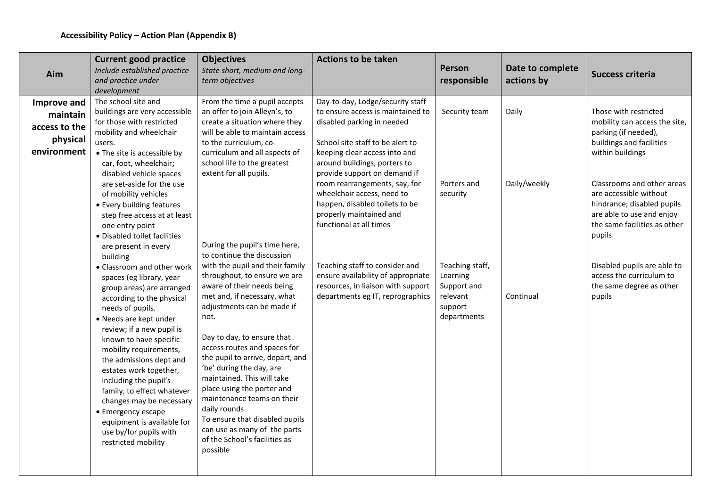| Aim                                                                 | <b>Current good practice</b><br>Include established practice<br>and practice under<br>development                                                                                                                                                                                                                                                                                                                                                                                                        | <b>Objectives</b><br>State short, medium and long-<br>term objectives                                                                                                                                                                                                                                                                                                                                                                                                                                                                                   | <b>Actions to be taken</b>                                                                                                                                                                                                               | Person<br>responsible                                                            | Date to complete<br>actions by | Success criteria                                                                                                                                          |
|---------------------------------------------------------------------|----------------------------------------------------------------------------------------------------------------------------------------------------------------------------------------------------------------------------------------------------------------------------------------------------------------------------------------------------------------------------------------------------------------------------------------------------------------------------------------------------------|---------------------------------------------------------------------------------------------------------------------------------------------------------------------------------------------------------------------------------------------------------------------------------------------------------------------------------------------------------------------------------------------------------------------------------------------------------------------------------------------------------------------------------------------------------|------------------------------------------------------------------------------------------------------------------------------------------------------------------------------------------------------------------------------------------|----------------------------------------------------------------------------------|--------------------------------|-----------------------------------------------------------------------------------------------------------------------------------------------------------|
| Improve and<br>maintain<br>access to the<br>physical<br>environment | The school site and<br>buildings are very accessible<br>for those with restricted<br>mobility and wheelchair<br>users.<br>• The site is accessible by<br>car, foot, wheelchair;<br>disabled vehicle spaces                                                                                                                                                                                                                                                                                               | From the time a pupil accepts<br>an offer to join Alleyn's, to<br>create a situation where they<br>will be able to maintain access<br>to the curriculum, co-<br>curriculum and all aspects of<br>school life to the greatest<br>extent for all pupils.                                                                                                                                                                                                                                                                                                  | Day-to-day, Lodge/security staff<br>to ensure access is maintained to<br>disabled parking in needed<br>School site staff to be alert to<br>keeping clear access into and<br>around buildings, porters to<br>provide support on demand if | Security team                                                                    | Daily                          | Those with restricted<br>mobility can access the site,<br>parking (if needed),<br>buildings and facilities<br>within buildings                            |
|                                                                     | are set-aside for the use<br>of mobility vehicles<br>• Every building features<br>step free access at at least<br>one entry point<br>· Disabled toilet facilities<br>are present in every                                                                                                                                                                                                                                                                                                                | During the pupil's time here,                                                                                                                                                                                                                                                                                                                                                                                                                                                                                                                           | room rearrangements, say, for<br>wheelchair access, need to<br>happen, disabled toilets to be<br>properly maintained and<br>functional at all times                                                                                      | Porters and<br>security                                                          | Daily/weekly                   | Classrooms and other areas<br>are accessible without<br>hindrance; disabled pupils<br>are able to use and enjoy<br>the same facilities as other<br>pupils |
|                                                                     | building<br>• Classroom and other work<br>spaces (eg library, year<br>group areas) are arranged<br>according to the physical<br>needs of pupils.<br>• Needs are kept under<br>review; if a new pupil is<br>known to have specific<br>mobility requirements,<br>the admissions dept and<br>estates work together,<br>including the pupil's<br>family, to effect whatever<br>changes may be necessary<br>• Emergency escape<br>equipment is available for<br>use by/for pupils with<br>restricted mobility | to continue the discussion<br>with the pupil and their family<br>throughout, to ensure we are<br>aware of their needs being<br>met and, if necessary, what<br>adjustments can be made if<br>not.<br>Day to day, to ensure that<br>access routes and spaces for<br>the pupil to arrive, depart, and<br>'be' during the day, are<br>maintained. This will take<br>place using the porter and<br>maintenance teams on their<br>daily rounds<br>To ensure that disabled pupils<br>can use as many of the parts<br>of the School's facilities as<br>possible | Teaching staff to consider and<br>ensure availability of appropriate<br>resources, in liaison with support<br>departments eg IT, reprographics                                                                                           | Teaching staff,<br>Learning<br>Support and<br>relevant<br>support<br>departments | Continual                      | Disabled pupils are able to<br>access the curriculum to<br>the same degree as other<br>pupils                                                             |